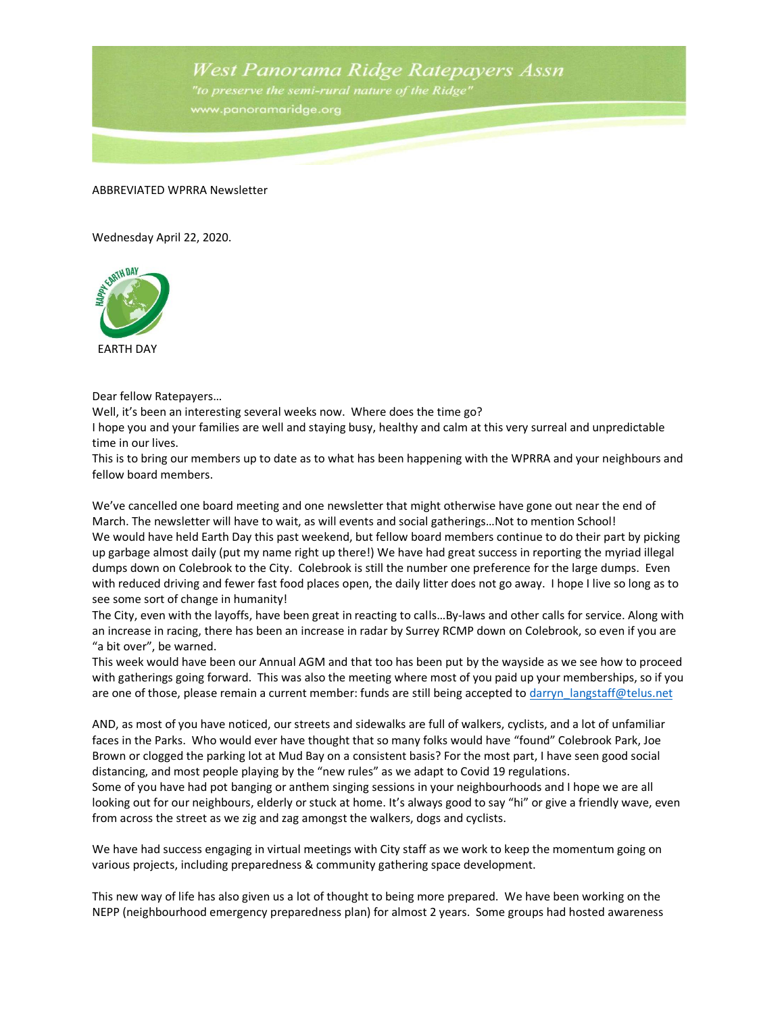West Panorama Ridge Ratepayers Assn

"to preserve the semi-rural nature of the Ridge" www.panoramaridge.org

## ABBREVIATED WPRRA Newsletter

Wednesday April 22, 2020.



EARTH DAY

Dear fellow Ratepayers…

Well, it's been an interesting several weeks now. Where does the time go?

I hope you and your families are well and staying busy, healthy and calm at this very surreal and unpredictable time in our lives.

This is to bring our members up to date as to what has been happening with the WPRRA and your neighbours and fellow board members.

We've cancelled one board meeting and one newsletter that might otherwise have gone out near the end of March. The newsletter will have to wait, as will events and social gatherings... Not to mention School! We would have held Earth Day this past weekend, but fellow board members continue to do their part by picking up garbage almost daily (put my name right up there!) We have had great success in reporting the myriad illegal dumps down on Colebrook to the City. Colebrook is still the number one preference for the large dumps. Even with reduced driving and fewer fast food places open, the daily litter does not go away. I hope I live so long as to see some sort of change in humanity!

The City, even with the layoffs, have been great in reacting to calls…By-laws and other calls for service. Along with an increase in racing, there has been an increase in radar by Surrey RCMP down on Colebrook, so even if you are "a bit over", be warned.

This week would have been our Annual AGM and that too has been put by the wayside as we see how to proceed with gatherings going forward. This was also the meeting where most of you paid up your memberships, so if you are one of those, please remain a current member: funds are still being accepted to darryn langstaff@telus.net

AND, as most of you have noticed, our streets and sidewalks are full of walkers, cyclists, and a lot of unfamiliar faces in the Parks. Who would ever have thought that so many folks would have "found" Colebrook Park, Joe Brown or clogged the parking lot at Mud Bay on a consistent basis? For the most part, I have seen good social distancing, and most people playing by the "new rules" as we adapt to Covid 19 regulations.

Some of you have had pot banging or anthem singing sessions in your neighbourhoods and I hope we are all looking out for our neighbours, elderly or stuck at home. It's always good to say "hi" or give a friendly wave, even from across the street as we zig and zag amongst the walkers, dogs and cyclists.

We have had success engaging in virtual meetings with City staff as we work to keep the momentum going on various projects, including preparedness & community gathering space development.

This new way of life has also given us a lot of thought to being more prepared. We have been working on the NEPP (neighbourhood emergency preparedness plan) for almost 2 years. Some groups had hosted awareness